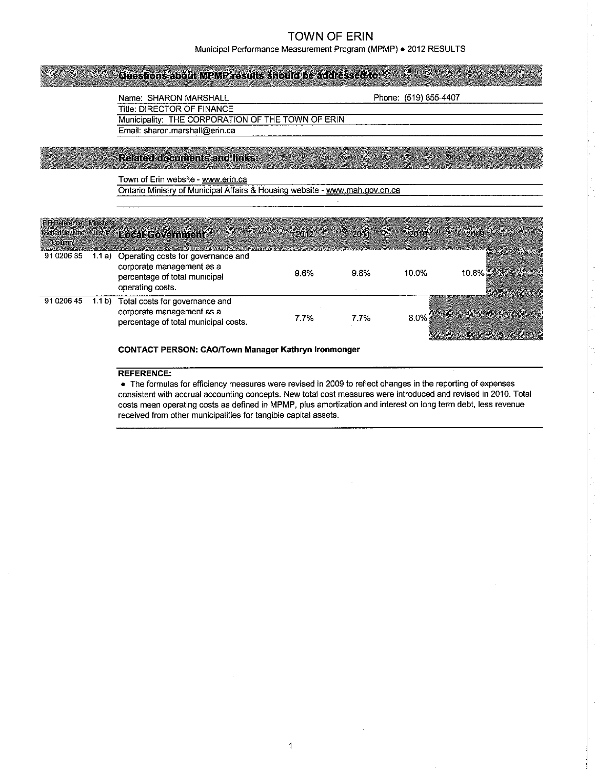Municipal Performance Measurement Program (MPMP) . 2012 RESULTS

## Questions about MPMP results should be addressed to:

Name: SHARON MARSHALL Phone: (519) 855-4407<br>Title: DIRECTOR OF FINANCE

Municipality: THE CORPORATION OF THE TOWN OF ERIN Email: sharon.marshall@erin.ca

**Related documents and links:** 

Town of Erin website - www.erin.ca<br>Ontario Ministry of Municipal Affairs & Housing website - www.mah.gov.on.ca

| <b>FIR Reference: Ministers</b><br>$\sim$ Column) | (Schedule Line Just # Local Government                                                                                      | $2012$ $2012$ | <b>2014 Com</b> | $-2010-$ | 2009  |
|---------------------------------------------------|-----------------------------------------------------------------------------------------------------------------------------|---------------|-----------------|----------|-------|
| 91 0206 35                                        | 1.1 a) Operating costs for governance and<br>corporate management as a<br>percentage of total municipal<br>operating costs. | 9.6%          | $9.8\%$         | 10.0%    | 10.8% |
| 91 0206 45                                        | 1.1 b) Total costs for governance and<br>corporate management as a<br>percentage of total municipal costs.                  | 7.7%          | 7.7%            | 8.0%     |       |

CONTACT PERSON: CAO,/Town Manager Kathryn lronmonger

#### REFERENCE:

. The formulas for efficiency measures were revised in 2009 to reflect changes in the reporting of expenses consistent with accrual accounting concepts. New total cost measures were introduced and revised in 2010. Total costs mean operating costs as defined in MPMP, plus amortization and interest on long term debt, less revenue received from other municipalities for tangible capital assets.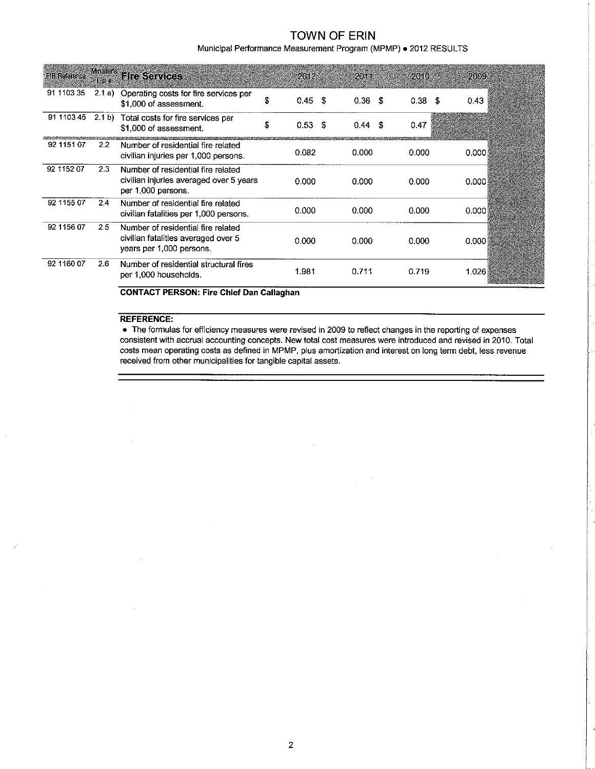Municipal Performance Measurement Program (MPMP) . 2012 RESULTS

| <b>FIR Reference</b> | Lister        | Ministers Fire Services                                                                               |    | 2012       | 2014       | 2010.             | 2009  |
|----------------------|---------------|-------------------------------------------------------------------------------------------------------|----|------------|------------|-------------------|-------|
| 91 1103 35           | 2.1 a)        | Operating costs for fire services per<br>\$1,000 of assessment.                                       | S  | 0.45<br>-S | 0.36<br>-S | 0.38 <sup>5</sup> | 0.43  |
| 91 1103 45           | (2.1 b)       | Total costs for fire services per<br>\$1,000 of assessment.                                           | \$ | 0.53<br>S  | -S<br>0.44 | 0.47              |       |
| 92 1151 07           | $2.2^{\circ}$ | Number of residential fire related<br>civilian injuries per 1,000 persons.                            |    | 0.082      | 0.000      | 0.000             | 0.000 |
| 92 1152 07           | 2.3           | Number of residential fire related<br>civilian injuries averaged over 5 years<br>per 1,000 persons.   |    | 0.000      | 0.000      | 0.000             | 0.000 |
| 92 1155 07           | 2.4           | Number of residential fire related<br>civilian fatalities per 1,000 persons.                          |    | 0.000      | 0.000      | 0.000             | 0.000 |
| 92 1156 07           | 2.5           | Number of residential fire related<br>civilian fatalities averaged over 5<br>years per 1,000 persons. |    | 0.000      | 0.000      | 0.000             | 0.000 |
| 92 1160 07           | 2.6           | Number of residential structural fires<br>per 1,000 households.                                       |    | 1.981      | 0.711      | 0.719             | 1.026 |

**CONTACT PERSON: Fire Chief Dan Callaghan** 

#### **REFERENCE:**

i,

 $\mathcal{J}$ 

• The formulas for efficiency measures were revised in 2009 to reflect changes in the reporting of expenses consistent with accrual accounting concepts. New total cost measures were introduced and revised in 2010. Total costs mean operating costs as defined in MPMP, plus amortization and interest on long term debt, less revenue received from other municipalities for tangible capital assets.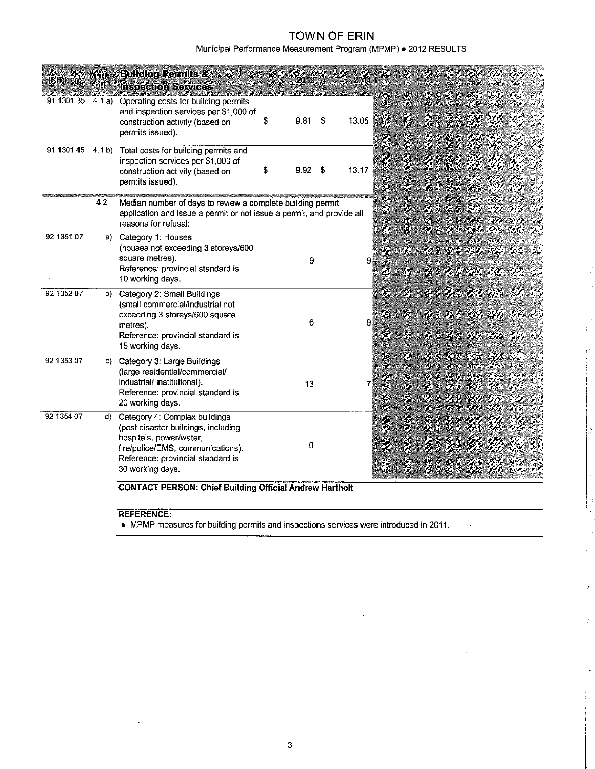Municipal Performance Measurement Program (MPMP) . 2012 RESULTS

| <b>FIR Reference</b> | List #           | <b>Ministers Building Permits &amp;</b><br><b>Inspection Services</b>                                                                                                                         | 2012       |    | 2611  |
|----------------------|------------------|-----------------------------------------------------------------------------------------------------------------------------------------------------------------------------------------------|------------|----|-------|
| 91 1301 35           | 4.1 a)           | Operating costs for building permits<br>and inspection services per \$1,000 of<br>construction activity (based on<br>permits issued).                                                         | \$<br>9.81 | \$ | 13.05 |
| 91 1301 45           | 4.1 <sub>b</sub> | Total costs for building permits and<br>inspection services per \$1,000 of<br>construction activity (based on<br>permits issued).                                                             | \$<br>9.92 | S  | 13.17 |
|                      | 4.2              | Median number of days to review a complete building permit<br>application and issue a permit or not issue a permit, and provide all<br>reasons for refusal:                                   |            |    |       |
| 92 1351 07           | a)               | Category 1: Houses<br>(houses not exceeding 3 storeys/600<br>square metres).<br>Reference: provincial standard is<br>10 working days.                                                         | 9          |    | 9     |
| 92 1352 07           | b).              | Category 2: Small Buildings<br>(small commercial/industrial not<br>exceeding 3 storeys/600 square<br>metres).<br>Reference: provincial standard is<br>15 working days.                        | 6          |    | 9     |
| 92 1353 07           | C).              | Category 3: Large Buildings<br>(large residential/commercial/<br>industrial/ institutional).<br>Reference: provincial standard is<br>20 working days.                                         | 13         |    | 7     |
| 92 1354 07           | d).              | Category 4: Complex buildings<br>(post disaster buildings, including<br>hospitals, power/water,<br>fire/police/EMS, communications).<br>Reference: provincial standard is<br>30 working days. | 0          |    |       |

**CONTACT PERSON: Chief Building Official Andrew Hartholt** 

REFERENCE:

• MPMP measures for building permits and inspections services were introduced in 2011.

 $\overline{1}$ 

J.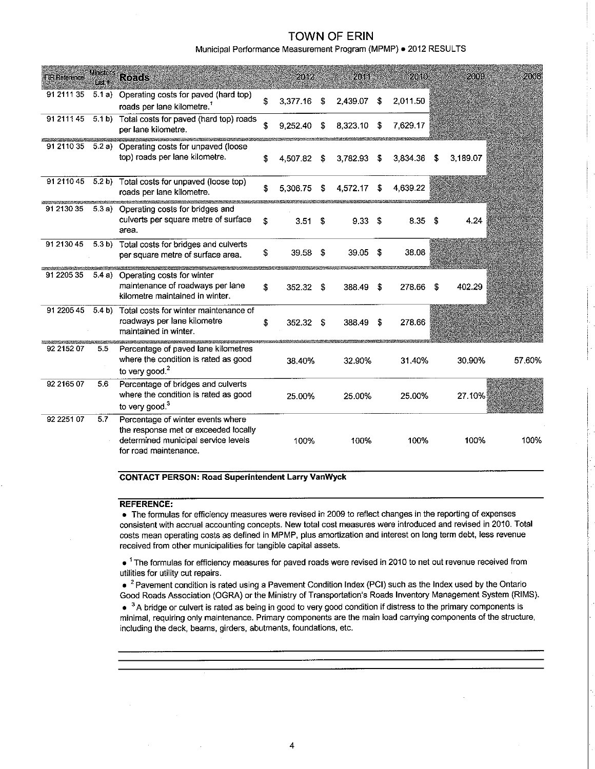Municipal Performance Measurement Program (MPMP) . 2012 RESULTS

| <b>FIR Reference</b> | <b>Ministers</b><br>t er 1 | Roads                                                                                                                                     |    | 2012        |      | 2011     |     | 2010     |     | 2009     | 2003   |
|----------------------|----------------------------|-------------------------------------------------------------------------------------------------------------------------------------------|----|-------------|------|----------|-----|----------|-----|----------|--------|
| 91 2111 35           | 51a)                       | Operating costs for paved (hard top)<br>roads per lane kilometre. <sup>7</sup>                                                            | Ś  | 3,377.16    | \$   | 2,439.07 | -\$ | 2.011.50 |     |          |        |
| 91 2111 45           | 5.1 <sub>b</sub>           | Total costs for paved (hard top) roads<br>per lane kilometre.                                                                             | S  | 9.252.40    | \$   | 8.323.10 | S   | 7,629.17 |     |          |        |
| 91 2110 35           |                            | 5.2 a) Operating costs for unpaved (loose<br>top) roads per lane kilometre.                                                               | S  | 4.507.82    | \$   | 3.782.93 | \$  | 3.834.36 | -S  | 3.189.07 |        |
| 91 2110 45           | 5.2 b)                     | Total costs for unpaved (loose top)<br>roads per lane kilometre.                                                                          | £  | 5.306.75    | \$   | 4,572.17 | \$  | 4,639.22 |     |          |        |
| 91 2130 35           |                            | 5.3 a) Operating costs for bridges and<br>culverts per square metre of surface<br>area.                                                   | \$ | 3.51        | Ŝ.   | 9.33     | \$  | 8.35     | - 5 | 4.24     |        |
| 91 2130 45           | 5.3 <sub>b</sub>           | Total costs for bridges and culverts<br>per square metre of surface area.                                                                 | \$ | 39.58       | -\$  | 39.05    | S   | 38.08    |     |          |        |
| 91 2205 35           | 5.4a)                      | Operating costs for winter<br>maintenance of roadways per lane<br>kilometre maintained in winter.                                         | \$ | 352.32      | - \$ | 388.49   | \$  | 278.66   | S   | 402.29   |        |
| 91 2205 45           | 5.4 b)                     | Total costs for winter maintenance of<br>roadways per lane kilometre<br>maintained in winter.                                             | £. | $352.32$ \$ |      | 388.49   | S   | 278.66   |     |          |        |
| 92 2152 07           | 5.5                        | Percentage of paved lane kilometres<br>where the condition is rated as good<br>to very good. <sup>2</sup>                                 |    | 38.40%      |      | 32.90%   |     | 31.40%   |     | 30.90%   | 57.60% |
| 92 2165 07           | 5.6                        | Percentage of bridges and culverts<br>where the condition is rated as good<br>to very good. $3$                                           |    | 25.00%      |      | 25.00%   |     | 25.00%   |     | 27.10%   |        |
| 92 2251 07           | 5.7                        | Percentage of winter events where<br>the response met or exceeded locally<br>determined municipal service levels<br>for road maintenance. |    | 100%        |      | 100%     |     | 100%     |     | 100%     | 100%   |

**CONTACT PERSON: Road Superintendent Larry VanWyck** 

#### **REFERENCE:**

• The formulas for efficiency measures were revised in 2009 to reflect changes in the reporting of expenses consistent with accrual accounting concepts. New total cost measures were introduced and revised in 2010. Total costs mean operating costs as defined in MPMP, plus amortization and interest on long term debt, less revenue received from other municipalities for tangible capital assets.

• <sup>1</sup> The formulas for efficiency measures for paved roads were revised in 2010 to net out revenue received from utilities for utility cut repairs.

 $\bullet$  <sup>2</sup> Pavement condition is rated using a Pavement Condition Index (PCI) such as the Index used by the Ontario Good Roads Association (OGRA) or the Ministry of Transportation's Roads Inventory Management System (RIMS).

• <sup>3</sup>A bridge or culvert is rated as being in good to very good condition if distress to the primary components is minimal, requiring only maintenance. Primary components are the main load carrying components of the structure, including the deck, beams, girders, abutments, foundations, etc.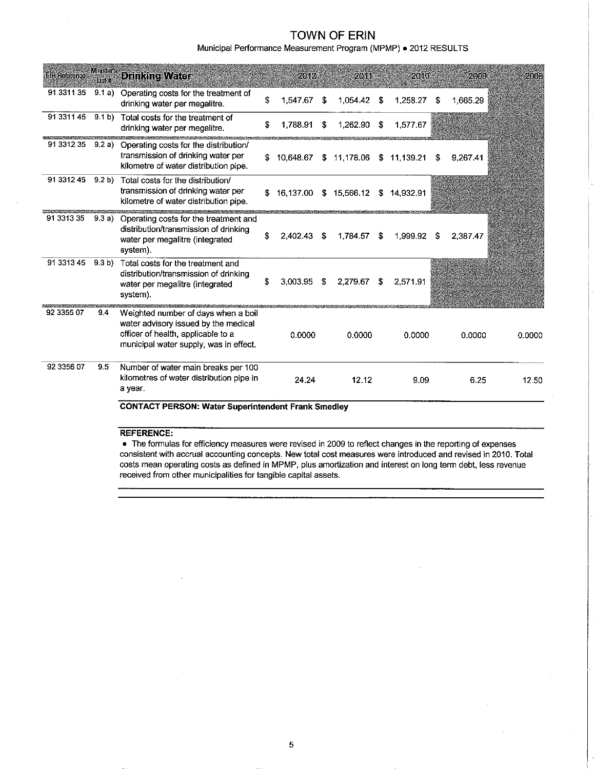Municipal Performance Measurement Program (MPMP) . 2012 RESULTS

| <b>FIR Reference</b> | <b>Minister's</b><br>List # | Drinking Water                                                                                                                                              |    | 20.92     |    | 20.11       |     | 2010        |    | 2009     | 2008   |  |
|----------------------|-----------------------------|-------------------------------------------------------------------------------------------------------------------------------------------------------------|----|-----------|----|-------------|-----|-------------|----|----------|--------|--|
| 91 3311 35           | 9.1a)                       | Operating costs for the treatment of<br>drinking water per megalitre.                                                                                       | \$ | 1,547.67  | \$ | 1,054.42    | -\$ | 1,258.27    | \$ | 1,665.29 |        |  |
| 91 3311 45           | 9.1 b)                      | Total costs for the treatment of<br>drinking water per megalitre.                                                                                           | S  | 1,788.91  | \$ | 1.262.90    | S   | 1.577.67    |    |          |        |  |
| 91 3312 35           | 9.2a)                       | Operating costs for the distribution/<br>transmission of drinking water per<br>kilometre of water distribution pipe.                                        | S. | 10.648.67 |    | \$11,178.06 |     | \$11,139.21 | \$ | 9,267.41 |        |  |
| 91 3312 45           | 9.2 b                       | Total costs for the distribution/<br>transmission of drinking water per<br>kilometre of water distribution pipe.                                            | S  | 16.137.00 | S. | 15,566.12   |     | \$14,932.91 |    |          |        |  |
| 91 3313 35           | 9.3a)                       | Operating costs for the treatment and<br>distribution/transmission of drinking<br>water per megalitre (integrated<br>system).                               | \$ | 2.402.43  | S  | 1.784.57    | \$  | 1.999.92    | S  | 2.387.47 |        |  |
| 91 3313 45           | 9.3 <sub>b</sub>            | Total costs for the treatment and<br>distribution/transmission of drinking<br>water per megalitre (integrated<br>system).                                   | S  | 3.003.95  | S  | 2,279.67    | -S  | 2,571.91    |    |          |        |  |
| 92 3355 07           | 9,4                         | Weighted number of days when a boil<br>water advisory issued by the medical<br>officer of health, applicable to a<br>municipal water supply, was in effect. |    | 0.0000    |    | 0.0000      |     | 0.0000      |    | 0.0000   | 0.0000 |  |
| 92 3356 07           | 9.5                         | Number of water main breaks per 100<br>kilometres of water distribution pipe in<br>a year.                                                                  |    | 24.24     |    | 12.12       |     | 9.09        |    | 6.25     | 12.50  |  |
|                      |                             | <b>CONTACT PERSON: Water Superintendent Frank Smedley</b>                                                                                                   |    |           |    |             |     |             |    |          |        |  |

#### REFERENCE:

. The formulas for efficiency measures were revised in 2009 to reflect changes in the reporting of expenses consistent with accrual accounting concepts. New total cost measures were introduced and revised in 2010. Total costs mean operating costs as defined in MPMP, plus amortization and interest on long term debt, less revenue received from other municipalities for tangible capital assets.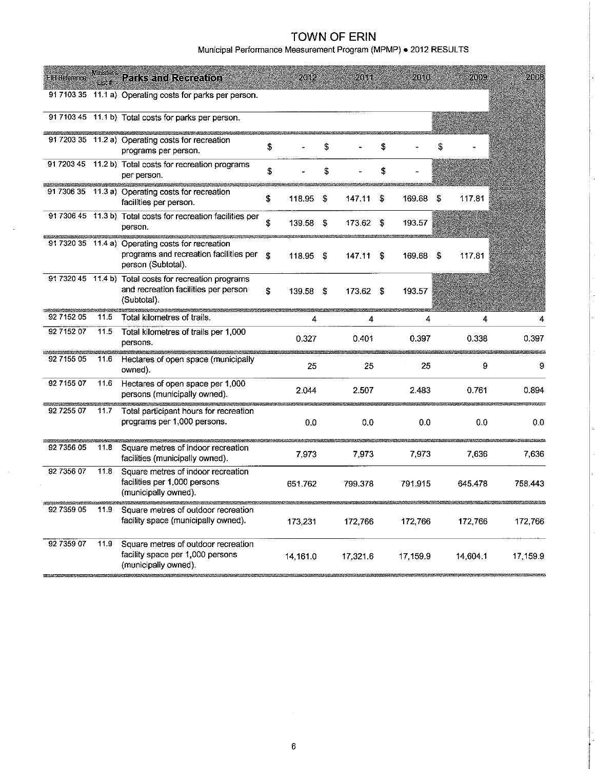Municipal Performance Measurement Program (MPMP) . 2012 RESULTS

| <b>FIR Reference</b> |      | <b>Minister's Parks and Recreation</b>                                                                            |    | 2012     |    | 2011      |      | 2010     |    | 2009     | 2008     |
|----------------------|------|-------------------------------------------------------------------------------------------------------------------|----|----------|----|-----------|------|----------|----|----------|----------|
|                      |      | 91710335 11.1 a) Operating costs for parks per person.                                                            |    |          |    |           |      |          |    |          |          |
|                      |      | 91 7103 45 11.1 b) Total costs for parks per person.<br>II MARKATAN DI BINARAN GANA KANYA KUTA                    |    |          |    |           |      |          |    |          |          |
|                      |      | 91 7203 35 11.2 a) Operating costs for recreation<br>programs per person.                                         | \$ |          | \$ |           | \$   |          |    |          |          |
|                      |      | 91 7203 45 11.2 b) Total costs for recreation programs<br>per person.                                             | \$ |          | \$ |           | \$   |          |    |          |          |
|                      |      | 91 7306 35 11.3 a) Operating costs for recreation<br>facilities per person.                                       | \$ | 118.95   | \$ | 147.11    | \$   | 169.68   | \$ | 117.81   |          |
|                      |      | 91 7306 45 11.3 b) Total costs for recreation facilities per<br>person.                                           | \$ | 139.58   | \$ | 173.62    | -S   | 193.57   |    |          |          |
|                      |      | 91 7320 35 11.4 a) Operating costs for recreation<br>programs and recreation facilities per<br>person (Subtotal). | S  | 118.95   | \$ | 147.11    | - \$ | 169.68   | S  | 117.81   |          |
|                      |      | 91 7320 45 11.4 b) Total costs for recreation programs<br>and recreation facilities per person<br>(Subtotal).     | \$ | 139.58   | S  | 173.62 \$ |      | 193.57   |    |          |          |
| 92 7152 05           | 11.5 | Total kilometres of trails.                                                                                       |    | 4        |    | 4         |      | 4        |    | 4        |          |
| 92 7152 07           | 11.5 | Total kilometres of trails per 1,000<br>persons.                                                                  |    | 0.327    |    | 0.401     |      | 0.397    |    | 0.338    | 0.397    |
| 92 7155 05           | 11.6 | Hectares of open space (municipally<br>owned).                                                                    |    | 25       |    | 25        |      | 25       |    | 9        | 9        |
| 92 7155 07           | 11.6 | Hectares of open space per 1,000<br>persons (municipally owned).                                                  |    | 2.044    |    | 2.507     |      | 2.483    |    | 0.761    | 0.894    |
| 92 7255 07           | 11.7 | Total participant hours for recreation<br>programs per 1,000 persons.                                             |    | 0.0      |    | 0.0       |      | 0.0      |    | 0.0      | 0.0      |
| 92 7356 05           | 11.8 | Square metres of indoor recreation<br>facilities (municipally owned).                                             |    | 7.973    |    | 7,973     |      | 7,973    |    | 7,636    | 7,636    |
| 92 7356 07           | 11.8 | Square metres of indoor recreation<br>facilities per 1,000 persons<br>(municipally owned).                        |    | 651 762  |    | 799.378   |      | 791.915  |    | 645,478  | 758.443  |
| 92 7359 05           | 11.9 | Square metres of outdoor recreation<br>facility space (municipally owned).                                        |    | 173.231  |    | 172,766   |      | 172,766  |    | 172,766  | 172,766  |
| 92 7359 07           | 11.9 | Square metres of outdoor recreation<br>facility space per 1,000 persons<br>(municipally owned).                   |    | 14,161.0 |    | 17,321.6  |      | 17,159.9 |    | 14,604.1 | 17,159.9 |